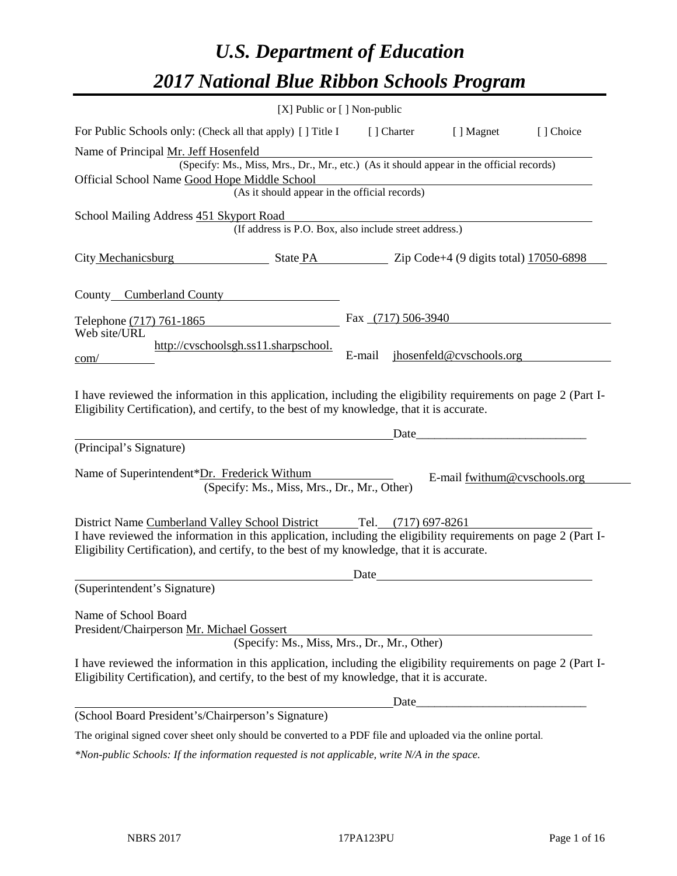# *U.S. Department of Education 2017 National Blue Ribbon Schools Program*

|                                                                                                                                                                                                                                         | $[X]$ Public or $[ \ ]$ Non-public                                                       |                      |                              |           |
|-----------------------------------------------------------------------------------------------------------------------------------------------------------------------------------------------------------------------------------------|------------------------------------------------------------------------------------------|----------------------|------------------------------|-----------|
| For Public Schools only: (Check all that apply) [ ] Title I                                                                                                                                                                             |                                                                                          | [] Charter           | [ ] Magnet                   | [] Choice |
| Name of Principal Mr. Jeff Hosenfeld                                                                                                                                                                                                    |                                                                                          |                      |                              |           |
| Official School Name Good Hope Middle School                                                                                                                                                                                            | (Specify: Ms., Miss, Mrs., Dr., Mr., etc.) (As it should appear in the official records) |                      |                              |           |
|                                                                                                                                                                                                                                         | (As it should appear in the official records)                                            |                      |                              |           |
| School Mailing Address 451 Skyport Road                                                                                                                                                                                                 |                                                                                          |                      |                              |           |
|                                                                                                                                                                                                                                         | (If address is P.O. Box, also include street address.)                                   |                      |                              |           |
| City Mechanicsburg State PA Zip Code+4 (9 digits total) 17050-6898                                                                                                                                                                      |                                                                                          |                      |                              |           |
| County Cumberland County                                                                                                                                                                                                                |                                                                                          |                      |                              |           |
| Telephone (717) 761-1865                                                                                                                                                                                                                |                                                                                          | Fax $(717)$ 506-3940 |                              |           |
| Web site/URL                                                                                                                                                                                                                            |                                                                                          |                      |                              |           |
| com/                                                                                                                                                                                                                                    | http://cvschoolsgh.ss11.sharpschool.                                                     | E-mail               | jhosenfeld@cvschools.org     |           |
| I have reviewed the information in this application, including the eligibility requirements on page 2 (Part I-<br>Eligibility Certification), and certify, to the best of my knowledge, that it is accurate.<br>(Principal's Signature) |                                                                                          | Date                 |                              |           |
|                                                                                                                                                                                                                                         |                                                                                          |                      |                              |           |
| Name of Superintendent*Dr. Frederick Withum                                                                                                                                                                                             | (Specify: Ms., Miss, Mrs., Dr., Mr., Other)                                              |                      | E-mail fwithum@cvschools.org |           |
| District Name Cumberland Valley School District Tel. (717) 697-8261                                                                                                                                                                     |                                                                                          |                      |                              |           |
| I have reviewed the information in this application, including the eligibility requirements on page 2 (Part I-<br>Eligibility Certification), and certify, to the best of my knowledge, that it is accurate.                            |                                                                                          |                      |                              |           |
|                                                                                                                                                                                                                                         |                                                                                          | Date                 |                              |           |
| (Superintendent's Signature)                                                                                                                                                                                                            |                                                                                          |                      |                              |           |
| Name of School Board<br>President/Chairperson Mr. Michael Gossert                                                                                                                                                                       |                                                                                          |                      |                              |           |
|                                                                                                                                                                                                                                         | (Specify: Ms., Miss, Mrs., Dr., Mr., Other)                                              |                      |                              |           |
| I have reviewed the information in this application, including the eligibility requirements on page 2 (Part I-<br>Eligibility Certification), and certify, to the best of my knowledge, that it is accurate.                            |                                                                                          |                      |                              |           |
|                                                                                                                                                                                                                                         |                                                                                          |                      |                              |           |
| (School Board President's/Chairperson's Signature)                                                                                                                                                                                      |                                                                                          |                      |                              |           |
| The original signed cover sheet only should be converted to a PDF file and uploaded via the online portal.                                                                                                                              |                                                                                          |                      |                              |           |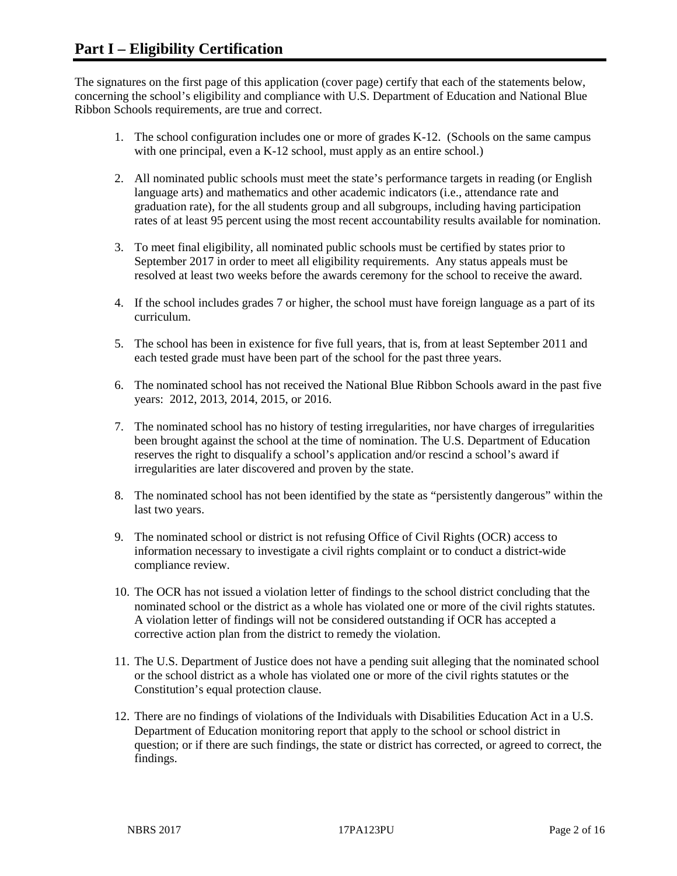The signatures on the first page of this application (cover page) certify that each of the statements below, concerning the school's eligibility and compliance with U.S. Department of Education and National Blue Ribbon Schools requirements, are true and correct.

- 1. The school configuration includes one or more of grades K-12. (Schools on the same campus with one principal, even a K-12 school, must apply as an entire school.)
- 2. All nominated public schools must meet the state's performance targets in reading (or English language arts) and mathematics and other academic indicators (i.e., attendance rate and graduation rate), for the all students group and all subgroups, including having participation rates of at least 95 percent using the most recent accountability results available for nomination.
- 3. To meet final eligibility, all nominated public schools must be certified by states prior to September 2017 in order to meet all eligibility requirements. Any status appeals must be resolved at least two weeks before the awards ceremony for the school to receive the award.
- 4. If the school includes grades 7 or higher, the school must have foreign language as a part of its curriculum.
- 5. The school has been in existence for five full years, that is, from at least September 2011 and each tested grade must have been part of the school for the past three years.
- 6. The nominated school has not received the National Blue Ribbon Schools award in the past five years: 2012, 2013, 2014, 2015, or 2016.
- 7. The nominated school has no history of testing irregularities, nor have charges of irregularities been brought against the school at the time of nomination. The U.S. Department of Education reserves the right to disqualify a school's application and/or rescind a school's award if irregularities are later discovered and proven by the state.
- 8. The nominated school has not been identified by the state as "persistently dangerous" within the last two years.
- 9. The nominated school or district is not refusing Office of Civil Rights (OCR) access to information necessary to investigate a civil rights complaint or to conduct a district-wide compliance review.
- 10. The OCR has not issued a violation letter of findings to the school district concluding that the nominated school or the district as a whole has violated one or more of the civil rights statutes. A violation letter of findings will not be considered outstanding if OCR has accepted a corrective action plan from the district to remedy the violation.
- 11. The U.S. Department of Justice does not have a pending suit alleging that the nominated school or the school district as a whole has violated one or more of the civil rights statutes or the Constitution's equal protection clause.
- 12. There are no findings of violations of the Individuals with Disabilities Education Act in a U.S. Department of Education monitoring report that apply to the school or school district in question; or if there are such findings, the state or district has corrected, or agreed to correct, the findings.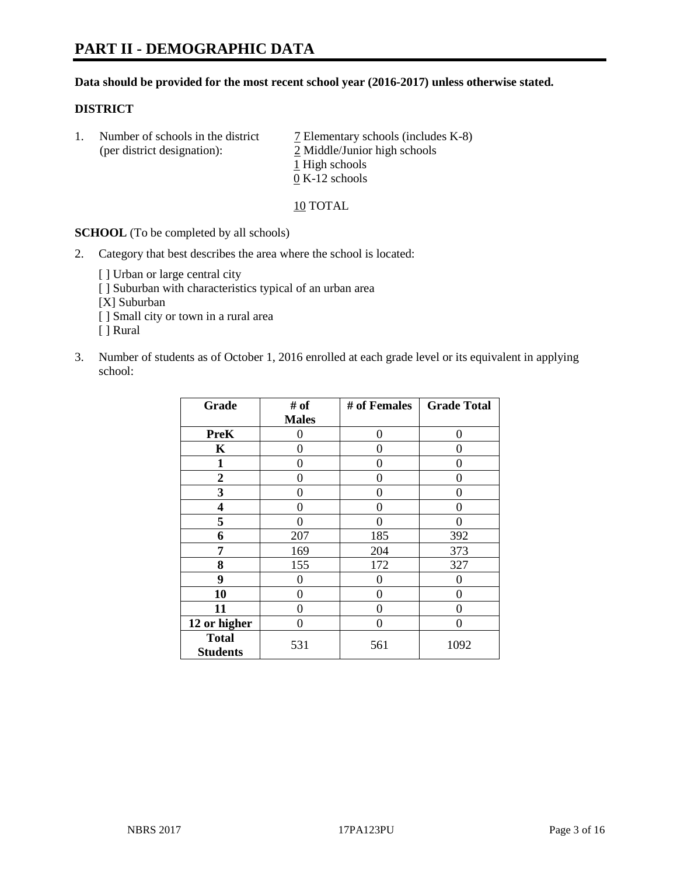## **Data should be provided for the most recent school year (2016-2017) unless otherwise stated.**

# **DISTRICT**

1. Number of schools in the district  $\overline{7}$  Elementary schools (includes K-8) (per district designation): 2 Middle/Junior high schools 1 High schools 0 K-12 schools

10 TOTAL

**SCHOOL** (To be completed by all schools)

- 2. Category that best describes the area where the school is located:
	- [] Urban or large central city [ ] Suburban with characteristics typical of an urban area [X] Suburban [ ] Small city or town in a rural area [ ] Rural
- 3. Number of students as of October 1, 2016 enrolled at each grade level or its equivalent in applying school:

| Grade                           | # of         | # of Females | <b>Grade Total</b> |
|---------------------------------|--------------|--------------|--------------------|
|                                 | <b>Males</b> |              |                    |
| <b>PreK</b>                     | 0            | 0            | $\theta$           |
| $\mathbf K$                     | 0            | 0            | 0                  |
| $\mathbf{1}$                    | 0            | 0            | 0                  |
| $\overline{2}$                  | 0            | 0            | 0                  |
| 3                               | 0            | 0            | $\mathbf{\Omega}$  |
| 4                               | 0            | 0            | 0                  |
| 5                               | 0            | 0            | 0                  |
| 6                               | 207          | 185          | 392                |
| 7                               | 169          | 204          | 373                |
| 8                               | 155          | 172          | 327                |
| 9                               | $\theta$     | 0            | 0                  |
| 10                              | $\theta$     | 0            | $\Omega$           |
| 11                              | 0            | 0            | $\Omega$           |
| 12 or higher                    | 0            | 0            | $\mathbf{\Omega}$  |
| <b>Total</b><br><b>Students</b> | 531          | 561          | 1092               |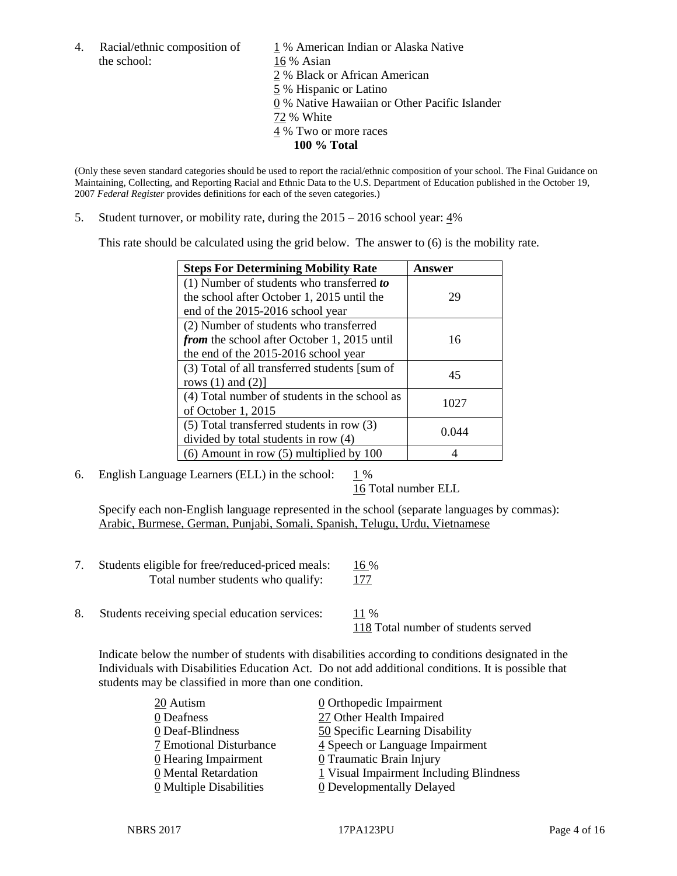the school: 16 % Asian

4. Racial/ethnic composition of  $1\%$  American Indian or Alaska Native 2 % Black or African American 5 % Hispanic or Latino 0 % Native Hawaiian or Other Pacific Islander 72 % White 4 % Two or more races **100 % Total**

(Only these seven standard categories should be used to report the racial/ethnic composition of your school. The Final Guidance on Maintaining, Collecting, and Reporting Racial and Ethnic Data to the U.S. Department of Education published in the October 19, 2007 *Federal Register* provides definitions for each of the seven categories.)

5. Student turnover, or mobility rate, during the 2015 – 2016 school year: 4%

This rate should be calculated using the grid below. The answer to (6) is the mobility rate.

| <b>Steps For Determining Mobility Rate</b>         | Answer |
|----------------------------------------------------|--------|
| (1) Number of students who transferred to          |        |
| the school after October 1, 2015 until the         | 29     |
| end of the 2015-2016 school year                   |        |
| (2) Number of students who transferred             |        |
| <i>from</i> the school after October 1, 2015 until | 16     |
| the end of the 2015-2016 school year               |        |
| (3) Total of all transferred students [sum of      | 45     |
| rows $(1)$ and $(2)$ ]                             |        |
| (4) Total number of students in the school as      | 1027   |
| of October 1, 2015                                 |        |
| $(5)$ Total transferred students in row $(3)$      |        |
| divided by total students in row (4)               | 0.044  |
| $(6)$ Amount in row $(5)$ multiplied by 100        |        |

6. English Language Learners (ELL) in the school:  $1\%$ 

16 Total number ELL

Specify each non-English language represented in the school (separate languages by commas): Arabic, Burmese, German, Punjabi, Somali, Spanish, Telugu, Urdu, Vietnamese

| Students eligible for free/reduced-priced meals: | $16\%$ |
|--------------------------------------------------|--------|
| Total number students who qualify:               | 177    |
|                                                  |        |

8. Students receiving special education services:  $11\%$ 118 Total number of students served

Indicate below the number of students with disabilities according to conditions designated in the Individuals with Disabilities Education Act. Do not add additional conditions. It is possible that students may be classified in more than one condition.

| 20 Autism                             | 0 Orthopedic Impairment                 |
|---------------------------------------|-----------------------------------------|
| 0 Deafness                            | 27 Other Health Impaired                |
| 0 Deaf-Blindness                      | 50 Specific Learning Disability         |
| 7 Emotional Disturbance               | 4 Speech or Language Impairment         |
| 0 Hearing Impairment                  | 0 Traumatic Brain Injury                |
| 0 Mental Retardation                  | 1 Visual Impairment Including Blindness |
| $\underline{0}$ Multiple Disabilities | <b>0</b> Developmentally Delayed        |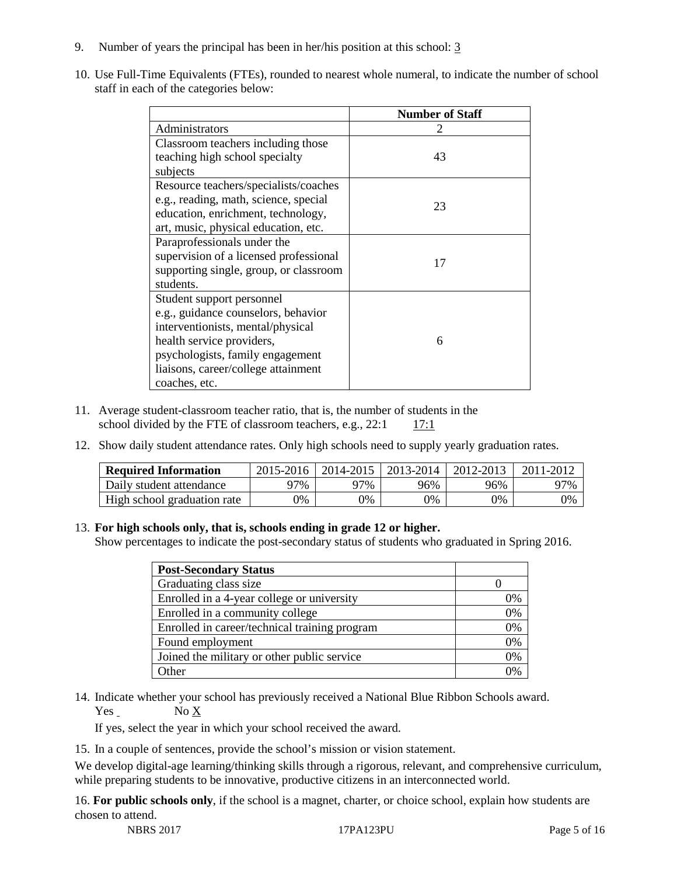- 9. Number of years the principal has been in her/his position at this school: 3
- 10. Use Full-Time Equivalents (FTEs), rounded to nearest whole numeral, to indicate the number of school staff in each of the categories below:

|                                        | <b>Number of Staff</b> |
|----------------------------------------|------------------------|
| Administrators                         |                        |
| Classroom teachers including those     |                        |
| teaching high school specialty         | 43                     |
| subjects                               |                        |
| Resource teachers/specialists/coaches  |                        |
| e.g., reading, math, science, special  | 23                     |
| education, enrichment, technology,     |                        |
| art, music, physical education, etc.   |                        |
| Paraprofessionals under the            |                        |
| supervision of a licensed professional | 17                     |
| supporting single, group, or classroom |                        |
| students.                              |                        |
| Student support personnel              |                        |
| e.g., guidance counselors, behavior    |                        |
| interventionists, mental/physical      |                        |
| health service providers,              | 6                      |
| psychologists, family engagement       |                        |
| liaisons, career/college attainment    |                        |
| coaches, etc.                          |                        |

- 11. Average student-classroom teacher ratio, that is, the number of students in the school divided by the FTE of classroom teachers, e.g.,  $22:1$  17:1
- 12. Show daily student attendance rates. Only high schools need to supply yearly graduation rates.

| <b>Required Information</b> | 2015-2016 | 2014-2015 | 2013-2014 | 2012-2013 |     |
|-----------------------------|-----------|-----------|-----------|-----------|-----|
| Daily student attendance    | ว7%       | 97%       | 96%       | 96%       | 97% |
| High school graduation rate | 0%        | 0%        | 0%        | 9%        | 0%  |

#### 13. **For high schools only, that is, schools ending in grade 12 or higher.**

Show percentages to indicate the post-secondary status of students who graduated in Spring 2016.

| <b>Post-Secondary Status</b>                  |    |
|-----------------------------------------------|----|
| Graduating class size                         |    |
| Enrolled in a 4-year college or university    | 0% |
| Enrolled in a community college               | 0% |
| Enrolled in career/technical training program | 0% |
| Found employment                              | 0% |
| Joined the military or other public service   | 0% |
| .)ther                                        |    |

14. Indicate whether your school has previously received a National Blue Ribbon Schools award. Yes No X

If yes, select the year in which your school received the award.

15. In a couple of sentences, provide the school's mission or vision statement.

We develop digital-age learning/thinking skills through a rigorous, relevant, and comprehensive curriculum, while preparing students to be innovative, productive citizens in an interconnected world.

16. **For public schools only**, if the school is a magnet, charter, or choice school, explain how students are chosen to attend.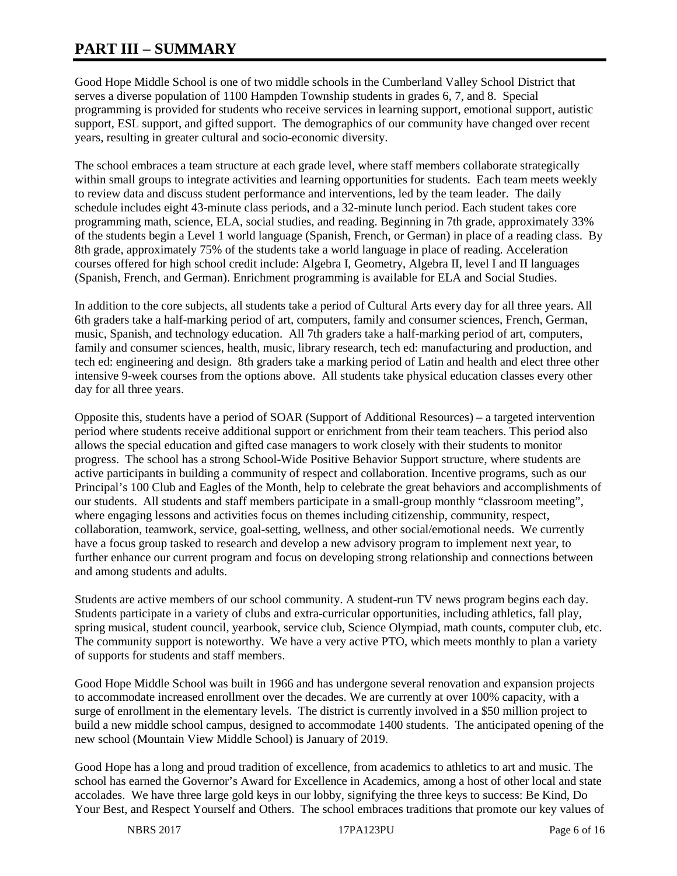# **PART III – SUMMARY**

Good Hope Middle School is one of two middle schools in the Cumberland Valley School District that serves a diverse population of 1100 Hampden Township students in grades 6, 7, and 8. Special programming is provided for students who receive services in learning support, emotional support, autistic support, ESL support, and gifted support. The demographics of our community have changed over recent years, resulting in greater cultural and socio-economic diversity.

The school embraces a team structure at each grade level, where staff members collaborate strategically within small groups to integrate activities and learning opportunities for students. Each team meets weekly to review data and discuss student performance and interventions, led by the team leader. The daily schedule includes eight 43-minute class periods, and a 32-minute lunch period. Each student takes core programming math, science, ELA, social studies, and reading. Beginning in 7th grade, approximately 33% of the students begin a Level 1 world language (Spanish, French, or German) in place of a reading class. By 8th grade, approximately 75% of the students take a world language in place of reading. Acceleration courses offered for high school credit include: Algebra I, Geometry, Algebra II, level I and II languages (Spanish, French, and German). Enrichment programming is available for ELA and Social Studies.

In addition to the core subjects, all students take a period of Cultural Arts every day for all three years. All 6th graders take a half-marking period of art, computers, family and consumer sciences, French, German, music, Spanish, and technology education. All 7th graders take a half-marking period of art, computers, family and consumer sciences, health, music, library research, tech ed: manufacturing and production, and tech ed: engineering and design. 8th graders take a marking period of Latin and health and elect three other intensive 9-week courses from the options above. All students take physical education classes every other day for all three years.

Opposite this, students have a period of SOAR (Support of Additional Resources) – a targeted intervention period where students receive additional support or enrichment from their team teachers. This period also allows the special education and gifted case managers to work closely with their students to monitor progress. The school has a strong School-Wide Positive Behavior Support structure, where students are active participants in building a community of respect and collaboration. Incentive programs, such as our Principal's 100 Club and Eagles of the Month, help to celebrate the great behaviors and accomplishments of our students. All students and staff members participate in a small-group monthly "classroom meeting", where engaging lessons and activities focus on themes including citizenship, community, respect, collaboration, teamwork, service, goal-setting, wellness, and other social/emotional needs. We currently have a focus group tasked to research and develop a new advisory program to implement next year, to further enhance our current program and focus on developing strong relationship and connections between and among students and adults.

Students are active members of our school community. A student-run TV news program begins each day. Students participate in a variety of clubs and extra-curricular opportunities, including athletics, fall play, spring musical, student council, yearbook, service club, Science Olympiad, math counts, computer club, etc. The community support is noteworthy. We have a very active PTO, which meets monthly to plan a variety of supports for students and staff members.

Good Hope Middle School was built in 1966 and has undergone several renovation and expansion projects to accommodate increased enrollment over the decades. We are currently at over 100% capacity, with a surge of enrollment in the elementary levels. The district is currently involved in a \$50 million project to build a new middle school campus, designed to accommodate 1400 students. The anticipated opening of the new school (Mountain View Middle School) is January of 2019.

Good Hope has a long and proud tradition of excellence, from academics to athletics to art and music. The school has earned the Governor's Award for Excellence in Academics, among a host of other local and state accolades. We have three large gold keys in our lobby, signifying the three keys to success: Be Kind, Do Your Best, and Respect Yourself and Others. The school embraces traditions that promote our key values of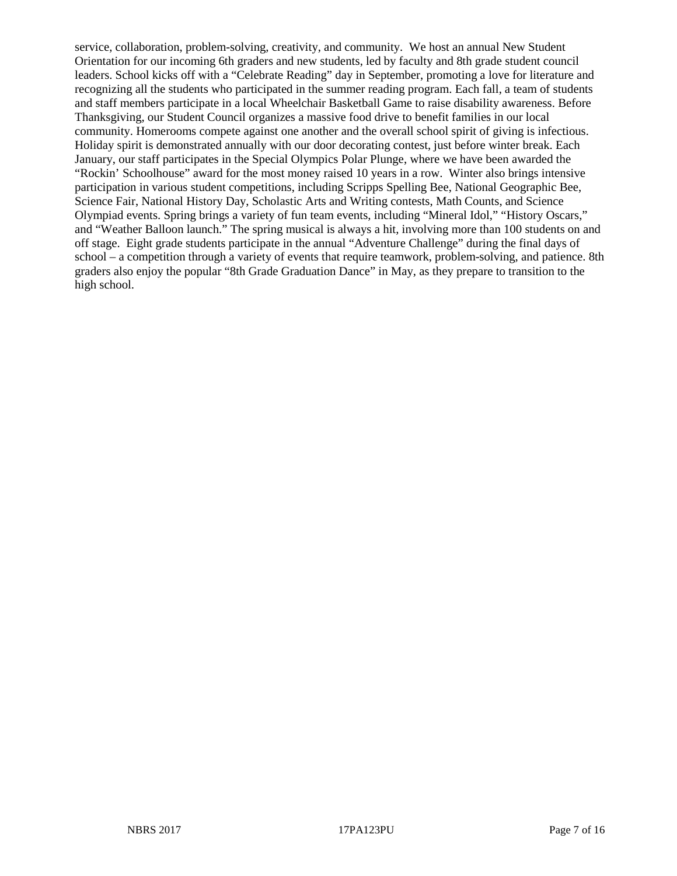service, collaboration, problem-solving, creativity, and community. We host an annual New Student Orientation for our incoming 6th graders and new students, led by faculty and 8th grade student council leaders. School kicks off with a "Celebrate Reading" day in September, promoting a love for literature and recognizing all the students who participated in the summer reading program. Each fall, a team of students and staff members participate in a local Wheelchair Basketball Game to raise disability awareness. Before Thanksgiving, our Student Council organizes a massive food drive to benefit families in our local community. Homerooms compete against one another and the overall school spirit of giving is infectious. Holiday spirit is demonstrated annually with our door decorating contest, just before winter break. Each January, our staff participates in the Special Olympics Polar Plunge, where we have been awarded the "Rockin' Schoolhouse" award for the most money raised 10 years in a row. Winter also brings intensive participation in various student competitions, including Scripps Spelling Bee, National Geographic Bee, Science Fair, National History Day, Scholastic Arts and Writing contests, Math Counts, and Science Olympiad events. Spring brings a variety of fun team events, including "Mineral Idol," "History Oscars," and "Weather Balloon launch." The spring musical is always a hit, involving more than 100 students on and off stage. Eight grade students participate in the annual "Adventure Challenge" during the final days of school – a competition through a variety of events that require teamwork, problem-solving, and patience. 8th graders also enjoy the popular "8th Grade Graduation Dance" in May, as they prepare to transition to the high school.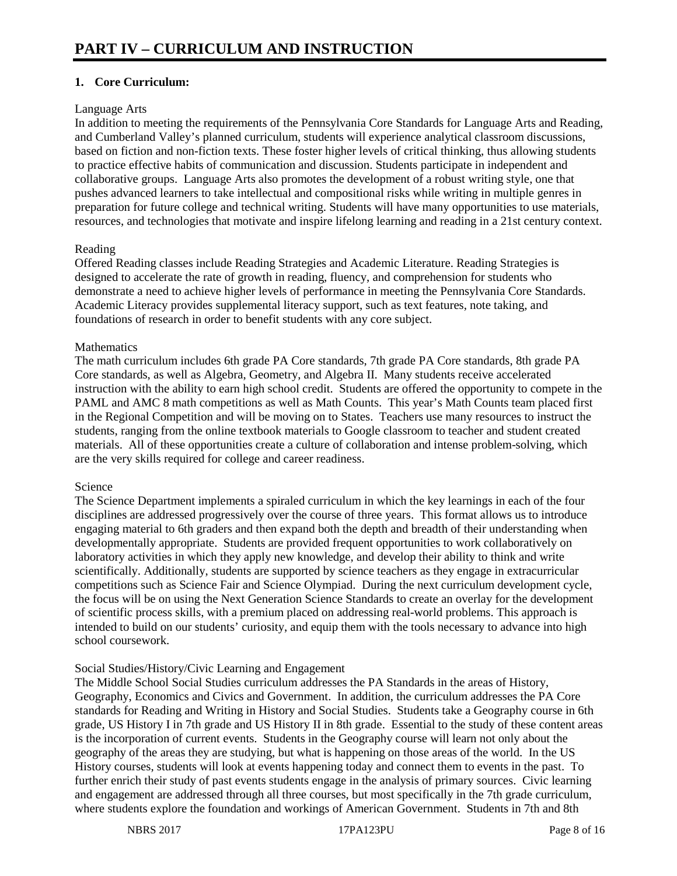# **1. Core Curriculum:**

# Language Arts

In addition to meeting the requirements of the Pennsylvania Core Standards for Language Arts and Reading, and Cumberland Valley's planned curriculum, students will experience analytical classroom discussions, based on fiction and non-fiction texts. These foster higher levels of critical thinking, thus allowing students to practice effective habits of communication and discussion. Students participate in independent and collaborative groups. Language Arts also promotes the development of a robust writing style, one that pushes advanced learners to take intellectual and compositional risks while writing in multiple genres in preparation for future college and technical writing. Students will have many opportunities to use materials, resources, and technologies that motivate and inspire lifelong learning and reading in a 21st century context.

# Reading

Offered Reading classes include Reading Strategies and Academic Literature. Reading Strategies is designed to accelerate the rate of growth in reading, fluency, and comprehension for students who demonstrate a need to achieve higher levels of performance in meeting the Pennsylvania Core Standards. Academic Literacy provides supplemental literacy support, such as text features, note taking, and foundations of research in order to benefit students with any core subject.

# **Mathematics**

The math curriculum includes 6th grade PA Core standards, 7th grade PA Core standards, 8th grade PA Core standards, as well as Algebra, Geometry, and Algebra II. Many students receive accelerated instruction with the ability to earn high school credit. Students are offered the opportunity to compete in the PAML and AMC 8 math competitions as well as Math Counts. This year's Math Counts team placed first in the Regional Competition and will be moving on to States. Teachers use many resources to instruct the students, ranging from the online textbook materials to Google classroom to teacher and student created materials. All of these opportunities create a culture of collaboration and intense problem-solving, which are the very skills required for college and career readiness.

#### Science

The Science Department implements a spiraled curriculum in which the key learnings in each of the four disciplines are addressed progressively over the course of three years. This format allows us to introduce engaging material to 6th graders and then expand both the depth and breadth of their understanding when developmentally appropriate. Students are provided frequent opportunities to work collaboratively on laboratory activities in which they apply new knowledge, and develop their ability to think and write scientifically. Additionally, students are supported by science teachers as they engage in extracurricular competitions such as Science Fair and Science Olympiad. During the next curriculum development cycle, the focus will be on using the Next Generation Science Standards to create an overlay for the development of scientific process skills, with a premium placed on addressing real-world problems. This approach is intended to build on our students' curiosity, and equip them with the tools necessary to advance into high school coursework.

# Social Studies/History/Civic Learning and Engagement

The Middle School Social Studies curriculum addresses the PA Standards in the areas of History, Geography, Economics and Civics and Government. In addition, the curriculum addresses the PA Core standards for Reading and Writing in History and Social Studies. Students take a Geography course in 6th grade, US History I in 7th grade and US History II in 8th grade. Essential to the study of these content areas is the incorporation of current events. Students in the Geography course will learn not only about the geography of the areas they are studying, but what is happening on those areas of the world. In the US History courses, students will look at events happening today and connect them to events in the past. To further enrich their study of past events students engage in the analysis of primary sources. Civic learning and engagement are addressed through all three courses, but most specifically in the 7th grade curriculum, where students explore the foundation and workings of American Government. Students in 7th and 8th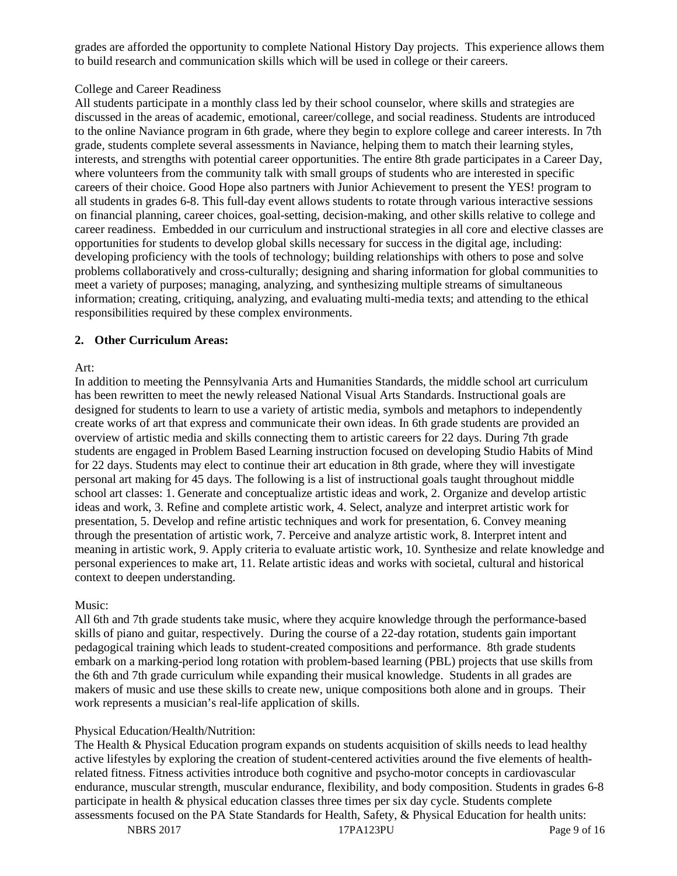grades are afforded the opportunity to complete National History Day projects. This experience allows them to build research and communication skills which will be used in college or their careers.

## College and Career Readiness

All students participate in a monthly class led by their school counselor, where skills and strategies are discussed in the areas of academic, emotional, career/college, and social readiness. Students are introduced to the online Naviance program in 6th grade, where they begin to explore college and career interests. In 7th grade, students complete several assessments in Naviance, helping them to match their learning styles, interests, and strengths with potential career opportunities. The entire 8th grade participates in a Career Day, where volunteers from the community talk with small groups of students who are interested in specific careers of their choice. Good Hope also partners with Junior Achievement to present the YES! program to all students in grades 6-8. This full-day event allows students to rotate through various interactive sessions on financial planning, career choices, goal-setting, decision-making, and other skills relative to college and career readiness. Embedded in our curriculum and instructional strategies in all core and elective classes are opportunities for students to develop global skills necessary for success in the digital age, including: developing proficiency with the tools of technology; building relationships with others to pose and solve problems collaboratively and cross-culturally; designing and sharing information for global communities to meet a variety of purposes; managing, analyzing, and synthesizing multiple streams of simultaneous information; creating, critiquing, analyzing, and evaluating multi-media texts; and attending to the ethical responsibilities required by these complex environments.

# **2. Other Curriculum Areas:**

#### Art:

In addition to meeting the Pennsylvania Arts and Humanities Standards, the middle school art curriculum has been rewritten to meet the newly released National Visual Arts Standards. Instructional goals are designed for students to learn to use a variety of artistic media, symbols and metaphors to independently create works of art that express and communicate their own ideas. In 6th grade students are provided an overview of artistic media and skills connecting them to artistic careers for 22 days. During 7th grade students are engaged in Problem Based Learning instruction focused on developing Studio Habits of Mind for 22 days. Students may elect to continue their art education in 8th grade, where they will investigate personal art making for 45 days. The following is a list of instructional goals taught throughout middle school art classes: 1. Generate and conceptualize artistic ideas and work, 2. Organize and develop artistic ideas and work, 3. Refine and complete artistic work, 4. Select, analyze and interpret artistic work for presentation, 5. Develop and refine artistic techniques and work for presentation, 6. Convey meaning through the presentation of artistic work, 7. Perceive and analyze artistic work, 8. Interpret intent and meaning in artistic work, 9. Apply criteria to evaluate artistic work, 10. Synthesize and relate knowledge and personal experiences to make art, 11. Relate artistic ideas and works with societal, cultural and historical context to deepen understanding.

#### Music:

All 6th and 7th grade students take music, where they acquire knowledge through the performance-based skills of piano and guitar, respectively. During the course of a 22-day rotation, students gain important pedagogical training which leads to student-created compositions and performance. 8th grade students embark on a marking-period long rotation with problem-based learning (PBL) projects that use skills from the 6th and 7th grade curriculum while expanding their musical knowledge. Students in all grades are makers of music and use these skills to create new, unique compositions both alone and in groups. Their work represents a musician's real-life application of skills.

# Physical Education/Health/Nutrition:

The Health & Physical Education program expands on students acquisition of skills needs to lead healthy active lifestyles by exploring the creation of student-centered activities around the five elements of healthrelated fitness. Fitness activities introduce both cognitive and psycho-motor concepts in cardiovascular endurance, muscular strength, muscular endurance, flexibility, and body composition. Students in grades 6-8 participate in health & physical education classes three times per six day cycle. Students complete assessments focused on the PA State Standards for Health, Safety, & Physical Education for health units: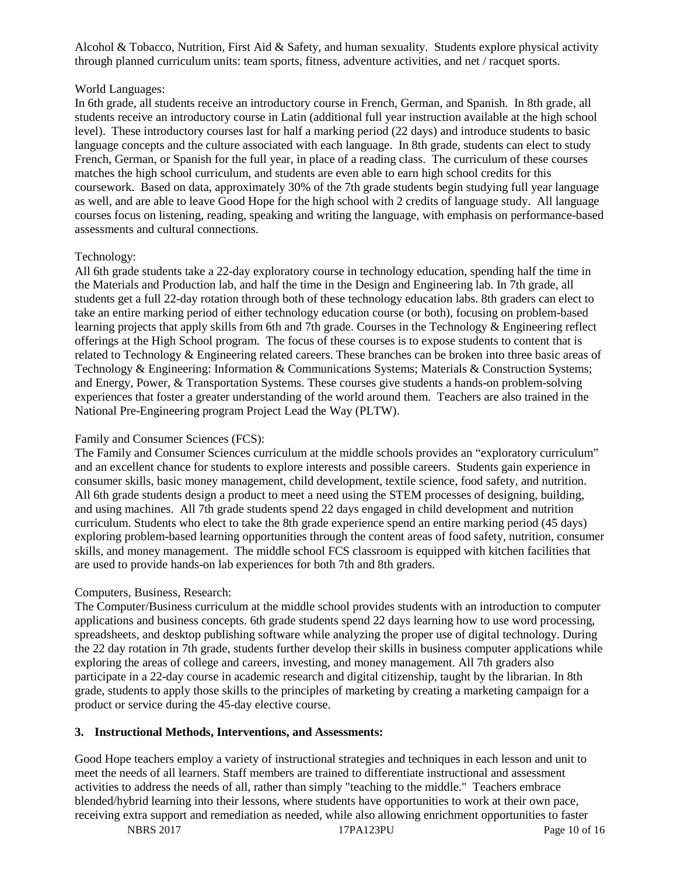Alcohol & Tobacco, Nutrition, First Aid & Safety, and human sexuality. Students explore physical activity through planned curriculum units: team sports, fitness, adventure activities, and net / racquet sports.

# World Languages:

In 6th grade, all students receive an introductory course in French, German, and Spanish. In 8th grade, all students receive an introductory course in Latin (additional full year instruction available at the high school level). These introductory courses last for half a marking period (22 days) and introduce students to basic language concepts and the culture associated with each language. In 8th grade, students can elect to study French, German, or Spanish for the full year, in place of a reading class. The curriculum of these courses matches the high school curriculum, and students are even able to earn high school credits for this coursework. Based on data, approximately 30% of the 7th grade students begin studying full year language as well, and are able to leave Good Hope for the high school with 2 credits of language study. All language courses focus on listening, reading, speaking and writing the language, with emphasis on performance-based assessments and cultural connections.

# Technology:

All 6th grade students take a 22-day exploratory course in technology education, spending half the time in the Materials and Production lab, and half the time in the Design and Engineering lab. In 7th grade, all students get a full 22-day rotation through both of these technology education labs. 8th graders can elect to take an entire marking period of either technology education course (or both), focusing on problem-based learning projects that apply skills from 6th and 7th grade. Courses in the Technology & Engineering reflect offerings at the High School program. The focus of these courses is to expose students to content that is related to Technology & Engineering related careers. These branches can be broken into three basic areas of Technology & Engineering: Information & Communications Systems; Materials & Construction Systems; and Energy, Power, & Transportation Systems. These courses give students a hands-on problem-solving experiences that foster a greater understanding of the world around them. Teachers are also trained in the National Pre-Engineering program Project Lead the Way (PLTW).

## Family and Consumer Sciences (FCS):

The Family and Consumer Sciences curriculum at the middle schools provides an "exploratory curriculum" and an excellent chance for students to explore interests and possible careers. Students gain experience in consumer skills, basic money management, child development, textile science, food safety, and nutrition. All 6th grade students design a product to meet a need using the STEM processes of designing, building, and using machines. All 7th grade students spend 22 days engaged in child development and nutrition curriculum. Students who elect to take the 8th grade experience spend an entire marking period (45 days) exploring problem-based learning opportunities through the content areas of food safety, nutrition, consumer skills, and money management. The middle school FCS classroom is equipped with kitchen facilities that are used to provide hands-on lab experiences for both 7th and 8th graders.

# Computers, Business, Research:

The Computer/Business curriculum at the middle school provides students with an introduction to computer applications and business concepts. 6th grade students spend 22 days learning how to use word processing, spreadsheets, and desktop publishing software while analyzing the proper use of digital technology. During the 22 day rotation in 7th grade, students further develop their skills in business computer applications while exploring the areas of college and careers, investing, and money management. All 7th graders also participate in a 22-day course in academic research and digital citizenship, taught by the librarian. In 8th grade, students to apply those skills to the principles of marketing by creating a marketing campaign for a product or service during the 45-day elective course.

#### **3. Instructional Methods, Interventions, and Assessments:**

Good Hope teachers employ a variety of instructional strategies and techniques in each lesson and unit to meet the needs of all learners. Staff members are trained to differentiate instructional and assessment activities to address the needs of all, rather than simply "teaching to the middle." Teachers embrace blended/hybrid learning into their lessons, where students have opportunities to work at their own pace, receiving extra support and remediation as needed, while also allowing enrichment opportunities to faster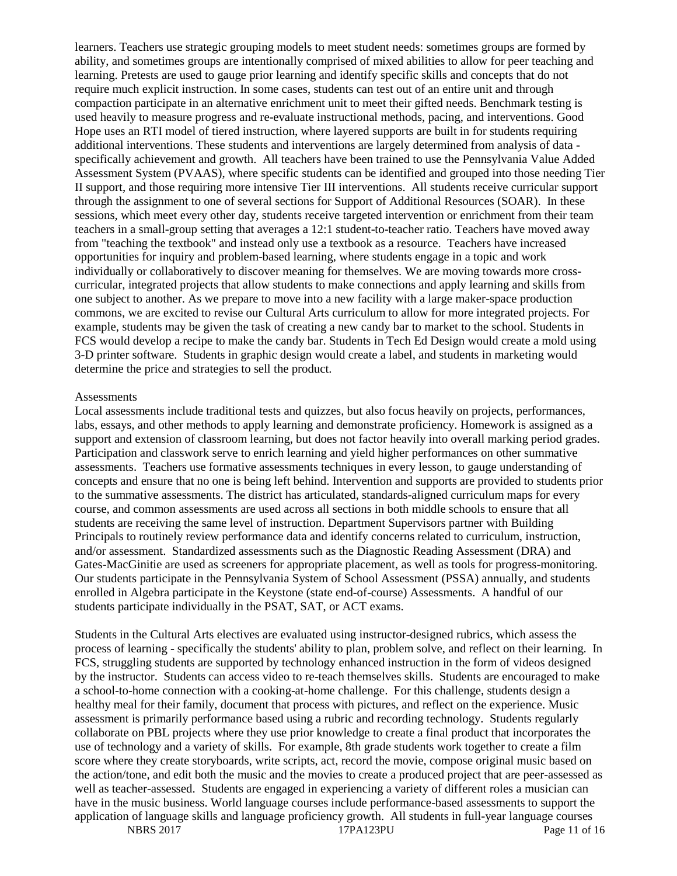learners. Teachers use strategic grouping models to meet student needs: sometimes groups are formed by ability, and sometimes groups are intentionally comprised of mixed abilities to allow for peer teaching and learning. Pretests are used to gauge prior learning and identify specific skills and concepts that do not require much explicit instruction. In some cases, students can test out of an entire unit and through compaction participate in an alternative enrichment unit to meet their gifted needs. Benchmark testing is used heavily to measure progress and re-evaluate instructional methods, pacing, and interventions. Good Hope uses an RTI model of tiered instruction, where layered supports are built in for students requiring additional interventions. These students and interventions are largely determined from analysis of data specifically achievement and growth. All teachers have been trained to use the Pennsylvania Value Added Assessment System (PVAAS), where specific students can be identified and grouped into those needing Tier II support, and those requiring more intensive Tier III interventions. All students receive curricular support through the assignment to one of several sections for Support of Additional Resources (SOAR). In these sessions, which meet every other day, students receive targeted intervention or enrichment from their team teachers in a small-group setting that averages a 12:1 student-to-teacher ratio. Teachers have moved away from "teaching the textbook" and instead only use a textbook as a resource. Teachers have increased opportunities for inquiry and problem-based learning, where students engage in a topic and work individually or collaboratively to discover meaning for themselves. We are moving towards more crosscurricular, integrated projects that allow students to make connections and apply learning and skills from one subject to another. As we prepare to move into a new facility with a large maker-space production commons, we are excited to revise our Cultural Arts curriculum to allow for more integrated projects. For example, students may be given the task of creating a new candy bar to market to the school. Students in FCS would develop a recipe to make the candy bar. Students in Tech Ed Design would create a mold using 3-D printer software. Students in graphic design would create a label, and students in marketing would determine the price and strategies to sell the product.

#### **Assessments**

Local assessments include traditional tests and quizzes, but also focus heavily on projects, performances, labs, essays, and other methods to apply learning and demonstrate proficiency. Homework is assigned as a support and extension of classroom learning, but does not factor heavily into overall marking period grades. Participation and classwork serve to enrich learning and yield higher performances on other summative assessments. Teachers use formative assessments techniques in every lesson, to gauge understanding of concepts and ensure that no one is being left behind. Intervention and supports are provided to students prior to the summative assessments. The district has articulated, standards-aligned curriculum maps for every course, and common assessments are used across all sections in both middle schools to ensure that all students are receiving the same level of instruction. Department Supervisors partner with Building Principals to routinely review performance data and identify concerns related to curriculum, instruction, and/or assessment. Standardized assessments such as the Diagnostic Reading Assessment (DRA) and Gates-MacGinitie are used as screeners for appropriate placement, as well as tools for progress-monitoring. Our students participate in the Pennsylvania System of School Assessment (PSSA) annually, and students enrolled in Algebra participate in the Keystone (state end-of-course) Assessments. A handful of our students participate individually in the PSAT, SAT, or ACT exams.

Students in the Cultural Arts electives are evaluated using instructor-designed rubrics, which assess the process of learning - specifically the students' ability to plan, problem solve, and reflect on their learning. In FCS, struggling students are supported by technology enhanced instruction in the form of videos designed by the instructor. Students can access video to re-teach themselves skills. Students are encouraged to make a school-to-home connection with a cooking-at-home challenge. For this challenge, students design a healthy meal for their family, document that process with pictures, and reflect on the experience. Music assessment is primarily performance based using a rubric and recording technology. Students regularly collaborate on PBL projects where they use prior knowledge to create a final product that incorporates the use of technology and a variety of skills. For example, 8th grade students work together to create a film score where they create storyboards, write scripts, act, record the movie, compose original music based on the action/tone, and edit both the music and the movies to create a produced project that are peer-assessed as well as teacher-assessed. Students are engaged in experiencing a variety of different roles a musician can have in the music business. World language courses include performance-based assessments to support the application of language skills and language proficiency growth. All students in full-year language courses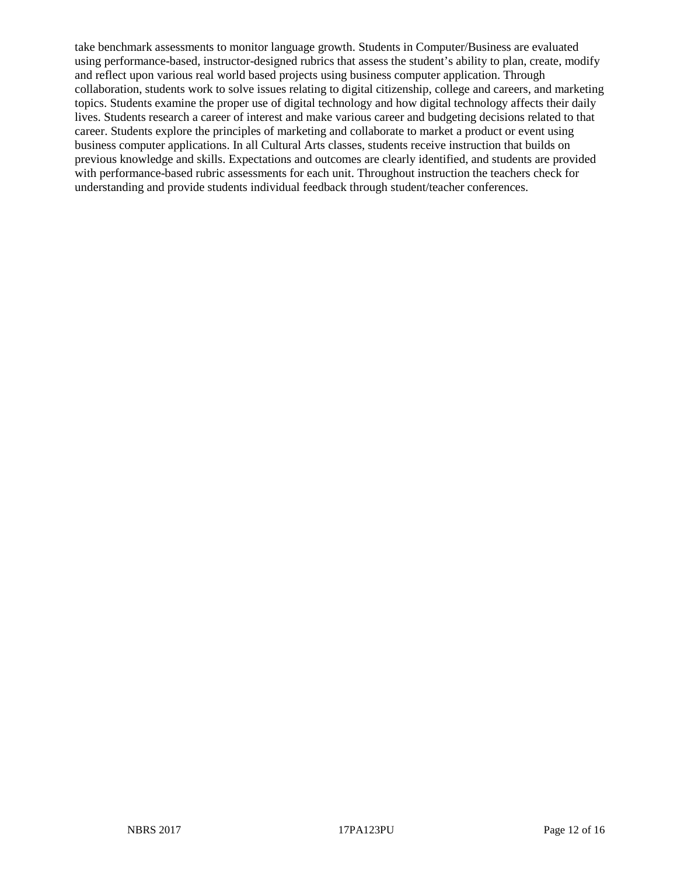take benchmark assessments to monitor language growth. Students in Computer/Business are evaluated using performance-based, instructor-designed rubrics that assess the student's ability to plan, create, modify and reflect upon various real world based projects using business computer application. Through collaboration, students work to solve issues relating to digital citizenship, college and careers, and marketing topics. Students examine the proper use of digital technology and how digital technology affects their daily lives. Students research a career of interest and make various career and budgeting decisions related to that career. Students explore the principles of marketing and collaborate to market a product or event using business computer applications. In all Cultural Arts classes, students receive instruction that builds on previous knowledge and skills. Expectations and outcomes are clearly identified, and students are provided with performance-based rubric assessments for each unit. Throughout instruction the teachers check for understanding and provide students individual feedback through student/teacher conferences.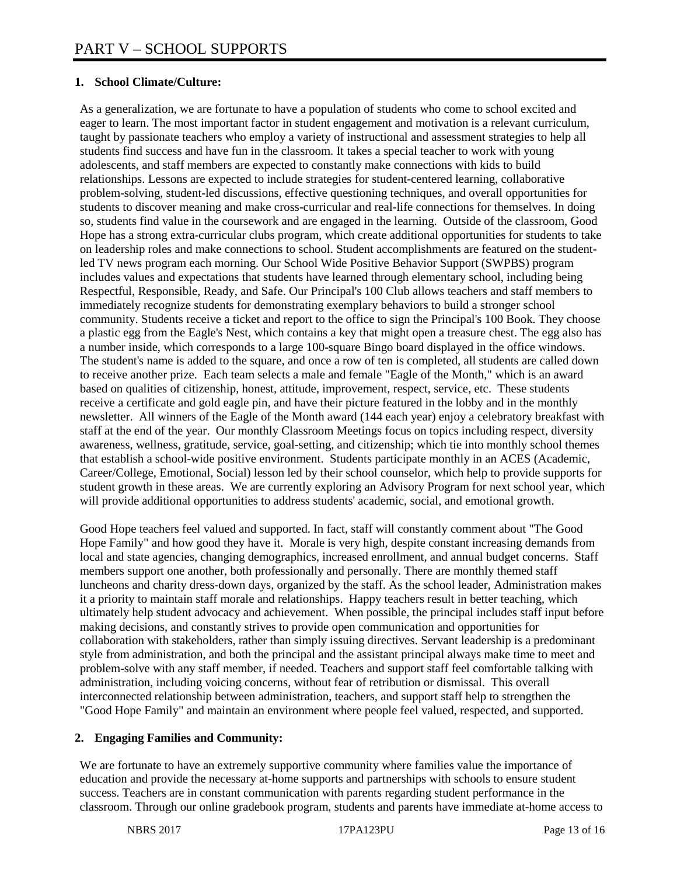# **1. School Climate/Culture:**

As a generalization, we are fortunate to have a population of students who come to school excited and eager to learn. The most important factor in student engagement and motivation is a relevant curriculum, taught by passionate teachers who employ a variety of instructional and assessment strategies to help all students find success and have fun in the classroom. It takes a special teacher to work with young adolescents, and staff members are expected to constantly make connections with kids to build relationships. Lessons are expected to include strategies for student-centered learning, collaborative problem-solving, student-led discussions, effective questioning techniques, and overall opportunities for students to discover meaning and make cross-curricular and real-life connections for themselves. In doing so, students find value in the coursework and are engaged in the learning. Outside of the classroom, Good Hope has a strong extra-curricular clubs program, which create additional opportunities for students to take on leadership roles and make connections to school. Student accomplishments are featured on the studentled TV news program each morning. Our School Wide Positive Behavior Support (SWPBS) program includes values and expectations that students have learned through elementary school, including being Respectful, Responsible, Ready, and Safe. Our Principal's 100 Club allows teachers and staff members to immediately recognize students for demonstrating exemplary behaviors to build a stronger school community. Students receive a ticket and report to the office to sign the Principal's 100 Book. They choose a plastic egg from the Eagle's Nest, which contains a key that might open a treasure chest. The egg also has a number inside, which corresponds to a large 100-square Bingo board displayed in the office windows. The student's name is added to the square, and once a row of ten is completed, all students are called down to receive another prize. Each team selects a male and female "Eagle of the Month," which is an award based on qualities of citizenship, honest, attitude, improvement, respect, service, etc. These students receive a certificate and gold eagle pin, and have their picture featured in the lobby and in the monthly newsletter. All winners of the Eagle of the Month award (144 each year) enjoy a celebratory breakfast with staff at the end of the year. Our monthly Classroom Meetings focus on topics including respect, diversity awareness, wellness, gratitude, service, goal-setting, and citizenship; which tie into monthly school themes that establish a school-wide positive environment. Students participate monthly in an ACES (Academic, Career/College, Emotional, Social) lesson led by their school counselor, which help to provide supports for student growth in these areas. We are currently exploring an Advisory Program for next school year, which will provide additional opportunities to address students' academic, social, and emotional growth.

Good Hope teachers feel valued and supported. In fact, staff will constantly comment about "The Good Hope Family" and how good they have it. Morale is very high, despite constant increasing demands from local and state agencies, changing demographics, increased enrollment, and annual budget concerns. Staff members support one another, both professionally and personally. There are monthly themed staff luncheons and charity dress-down days, organized by the staff. As the school leader, Administration makes it a priority to maintain staff morale and relationships. Happy teachers result in better teaching, which ultimately help student advocacy and achievement. When possible, the principal includes staff input before making decisions, and constantly strives to provide open communication and opportunities for collaboration with stakeholders, rather than simply issuing directives. Servant leadership is a predominant style from administration, and both the principal and the assistant principal always make time to meet and problem-solve with any staff member, if needed. Teachers and support staff feel comfortable talking with administration, including voicing concerns, without fear of retribution or dismissal. This overall interconnected relationship between administration, teachers, and support staff help to strengthen the "Good Hope Family" and maintain an environment where people feel valued, respected, and supported.

#### **2. Engaging Families and Community:**

We are fortunate to have an extremely supportive community where families value the importance of education and provide the necessary at-home supports and partnerships with schools to ensure student success. Teachers are in constant communication with parents regarding student performance in the classroom. Through our online gradebook program, students and parents have immediate at-home access to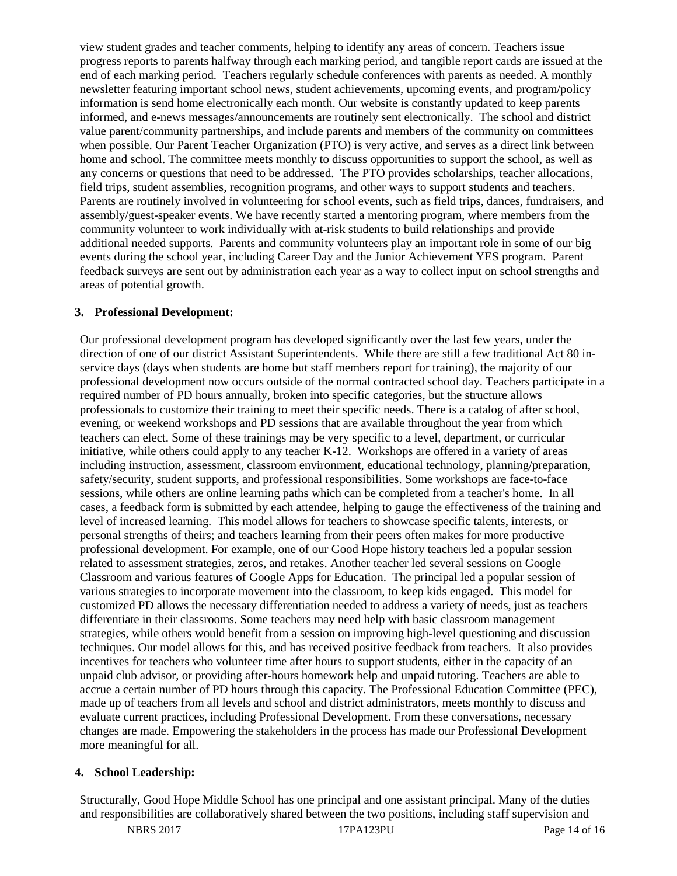view student grades and teacher comments, helping to identify any areas of concern. Teachers issue progress reports to parents halfway through each marking period, and tangible report cards are issued at the end of each marking period. Teachers regularly schedule conferences with parents as needed. A monthly newsletter featuring important school news, student achievements, upcoming events, and program/policy information is send home electronically each month. Our website is constantly updated to keep parents informed, and e-news messages/announcements are routinely sent electronically. The school and district value parent/community partnerships, and include parents and members of the community on committees when possible. Our Parent Teacher Organization (PTO) is very active, and serves as a direct link between home and school. The committee meets monthly to discuss opportunities to support the school, as well as any concerns or questions that need to be addressed. The PTO provides scholarships, teacher allocations, field trips, student assemblies, recognition programs, and other ways to support students and teachers. Parents are routinely involved in volunteering for school events, such as field trips, dances, fundraisers, and assembly/guest-speaker events. We have recently started a mentoring program, where members from the community volunteer to work individually with at-risk students to build relationships and provide additional needed supports. Parents and community volunteers play an important role in some of our big events during the school year, including Career Day and the Junior Achievement YES program. Parent feedback surveys are sent out by administration each year as a way to collect input on school strengths and areas of potential growth.

#### **3. Professional Development:**

Our professional development program has developed significantly over the last few years, under the direction of one of our district Assistant Superintendents. While there are still a few traditional Act 80 inservice days (days when students are home but staff members report for training), the majority of our professional development now occurs outside of the normal contracted school day. Teachers participate in a required number of PD hours annually, broken into specific categories, but the structure allows professionals to customize their training to meet their specific needs. There is a catalog of after school, evening, or weekend workshops and PD sessions that are available throughout the year from which teachers can elect. Some of these trainings may be very specific to a level, department, or curricular initiative, while others could apply to any teacher K-12. Workshops are offered in a variety of areas including instruction, assessment, classroom environment, educational technology, planning/preparation, safety/security, student supports, and professional responsibilities. Some workshops are face-to-face sessions, while others are online learning paths which can be completed from a teacher's home. In all cases, a feedback form is submitted by each attendee, helping to gauge the effectiveness of the training and level of increased learning. This model allows for teachers to showcase specific talents, interests, or personal strengths of theirs; and teachers learning from their peers often makes for more productive professional development. For example, one of our Good Hope history teachers led a popular session related to assessment strategies, zeros, and retakes. Another teacher led several sessions on Google Classroom and various features of Google Apps for Education. The principal led a popular session of various strategies to incorporate movement into the classroom, to keep kids engaged. This model for customized PD allows the necessary differentiation needed to address a variety of needs, just as teachers differentiate in their classrooms. Some teachers may need help with basic classroom management strategies, while others would benefit from a session on improving high-level questioning and discussion techniques. Our model allows for this, and has received positive feedback from teachers. It also provides incentives for teachers who volunteer time after hours to support students, either in the capacity of an unpaid club advisor, or providing after-hours homework help and unpaid tutoring. Teachers are able to accrue a certain number of PD hours through this capacity. The Professional Education Committee (PEC), made up of teachers from all levels and school and district administrators, meets monthly to discuss and evaluate current practices, including Professional Development. From these conversations, necessary changes are made. Empowering the stakeholders in the process has made our Professional Development more meaningful for all.

# **4. School Leadership:**

Structurally, Good Hope Middle School has one principal and one assistant principal. Many of the duties and responsibilities are collaboratively shared between the two positions, including staff supervision and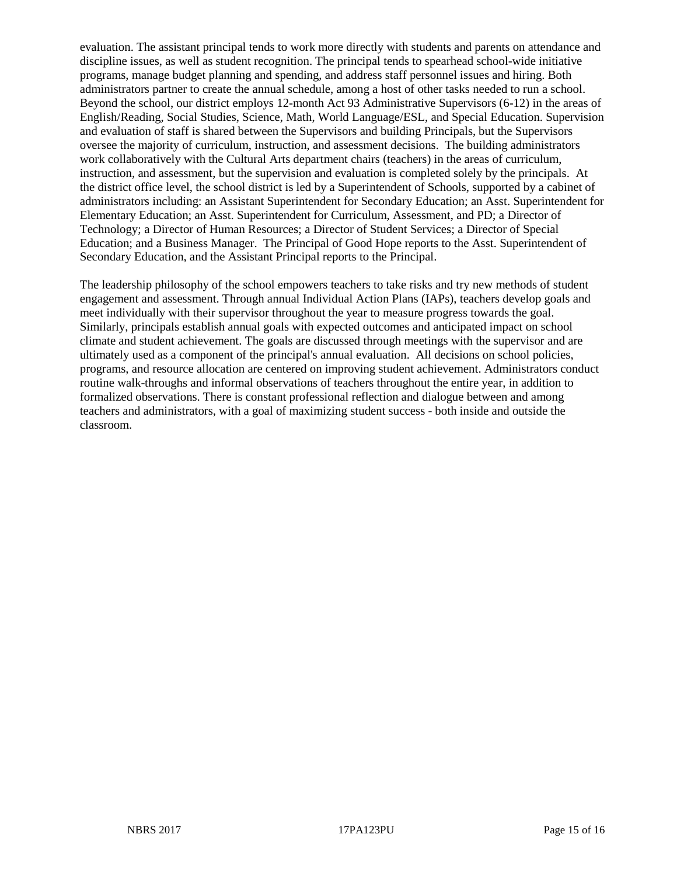evaluation. The assistant principal tends to work more directly with students and parents on attendance and discipline issues, as well as student recognition. The principal tends to spearhead school-wide initiative programs, manage budget planning and spending, and address staff personnel issues and hiring. Both administrators partner to create the annual schedule, among a host of other tasks needed to run a school. Beyond the school, our district employs 12-month Act 93 Administrative Supervisors (6-12) in the areas of English/Reading, Social Studies, Science, Math, World Language/ESL, and Special Education. Supervision and evaluation of staff is shared between the Supervisors and building Principals, but the Supervisors oversee the majority of curriculum, instruction, and assessment decisions. The building administrators work collaboratively with the Cultural Arts department chairs (teachers) in the areas of curriculum, instruction, and assessment, but the supervision and evaluation is completed solely by the principals. At the district office level, the school district is led by a Superintendent of Schools, supported by a cabinet of administrators including: an Assistant Superintendent for Secondary Education; an Asst. Superintendent for Elementary Education; an Asst. Superintendent for Curriculum, Assessment, and PD; a Director of Technology; a Director of Human Resources; a Director of Student Services; a Director of Special Education; and a Business Manager. The Principal of Good Hope reports to the Asst. Superintendent of Secondary Education, and the Assistant Principal reports to the Principal.

The leadership philosophy of the school empowers teachers to take risks and try new methods of student engagement and assessment. Through annual Individual Action Plans (IAPs), teachers develop goals and meet individually with their supervisor throughout the year to measure progress towards the goal. Similarly, principals establish annual goals with expected outcomes and anticipated impact on school climate and student achievement. The goals are discussed through meetings with the supervisor and are ultimately used as a component of the principal's annual evaluation. All decisions on school policies, programs, and resource allocation are centered on improving student achievement. Administrators conduct routine walk-throughs and informal observations of teachers throughout the entire year, in addition to formalized observations. There is constant professional reflection and dialogue between and among teachers and administrators, with a goal of maximizing student success - both inside and outside the classroom.